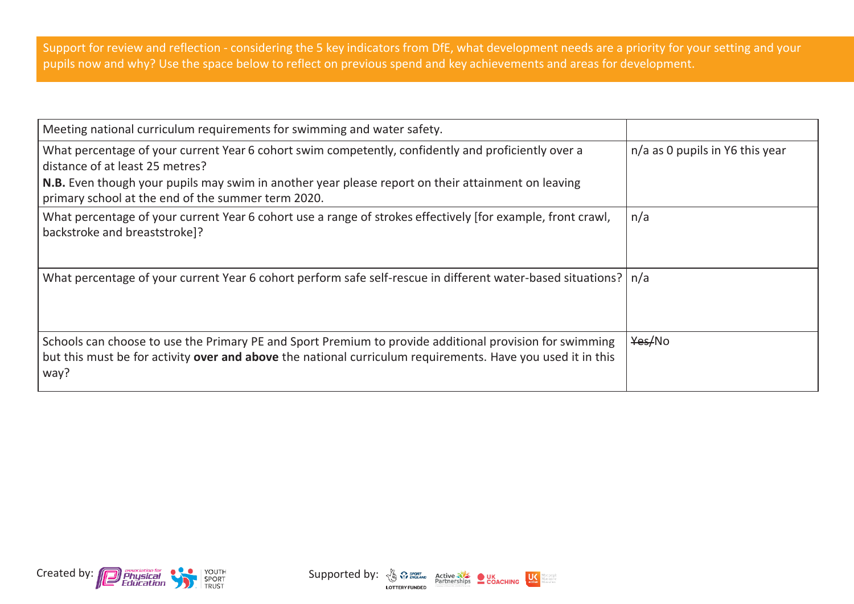Support for review and reflection - considering the 5 key indicators from DfE, what development needs are a priority for your setting and your pupils now and why? Use the space below to reflect on previous spend and key achievements and areas for development.

| Meeting national curriculum requirements for swimming and water safety.                                                                                                                                                                                                                            |                                 |
|----------------------------------------------------------------------------------------------------------------------------------------------------------------------------------------------------------------------------------------------------------------------------------------------------|---------------------------------|
| What percentage of your current Year 6 cohort swim competently, confidently and proficiently over a<br>distance of at least 25 metres?<br>N.B. Even though your pupils may swim in another year please report on their attainment on leaving<br>primary school at the end of the summer term 2020. | n/a as 0 pupils in Y6 this year |
| What percentage of your current Year 6 cohort use a range of strokes effectively [for example, front crawl,<br>backstroke and breaststroke]?                                                                                                                                                       | n/a                             |
| What percentage of your current Year 6 cohort perform safe self-rescue in different water-based situations?   n/a                                                                                                                                                                                  |                                 |
| Schools can choose to use the Primary PE and Sport Premium to provide additional provision for swimming<br>but this must be for activity over and above the national curriculum requirements. Have you used it in this<br>way?                                                                     | Yes/No                          |



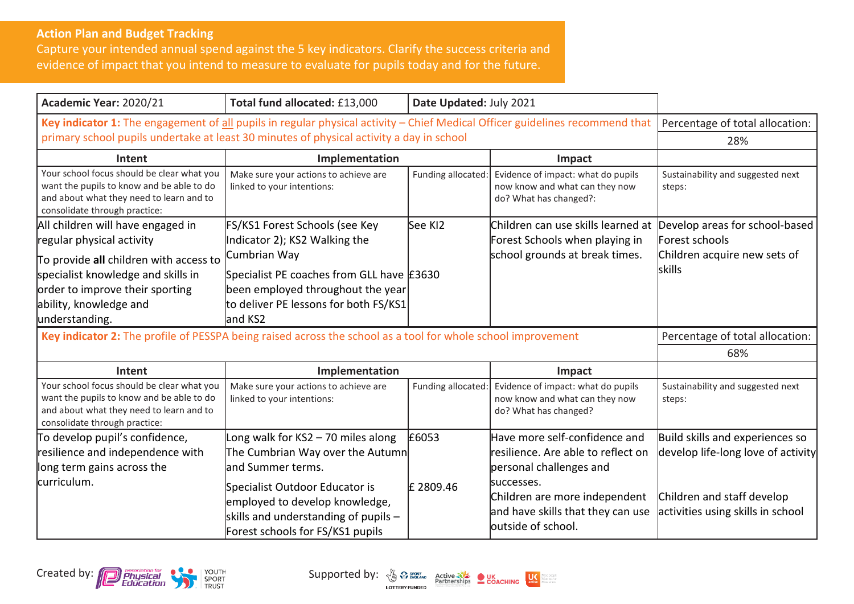## **Action Plan and Budget Tracking**

Capture your intended annual spend against the 5 key indicators. Clarify the success criteria and evidence of impact that you intend to measure to evaluate for pupils today and for the future.

| Academic Year: 2020/21                                                                                                                                               | Total fund allocated: £13,000                                                                                                                       | Date Updated: July 2021 |                                                                                                        |                                                                       |
|----------------------------------------------------------------------------------------------------------------------------------------------------------------------|-----------------------------------------------------------------------------------------------------------------------------------------------------|-------------------------|--------------------------------------------------------------------------------------------------------|-----------------------------------------------------------------------|
| Key indicator 1: The engagement of all pupils in regular physical activity - Chief Medical Officer guidelines recommend that                                         |                                                                                                                                                     |                         | Percentage of total allocation:                                                                        |                                                                       |
| primary school pupils undertake at least 30 minutes of physical activity a day in school                                                                             |                                                                                                                                                     |                         |                                                                                                        | 28%                                                                   |
| Intent                                                                                                                                                               | Implementation                                                                                                                                      |                         | Impact                                                                                                 |                                                                       |
| Your school focus should be clear what you<br>want the pupils to know and be able to do<br>and about what they need to learn and to<br>consolidate through practice: | Make sure your actions to achieve are<br>linked to your intentions:                                                                                 | Funding allocated:      | Evidence of impact: what do pupils<br>now know and what can they now<br>do? What has changed?:         | Sustainability and suggested next<br>steps:                           |
| All children will have engaged in<br>regular physical activity                                                                                                       | FS/KS1 Forest Schools (see Key<br>Indicator 2); KS2 Walking the                                                                                     | See KI2                 | Children can use skills learned at<br>Forest Schools when playing in                                   | Develop areas for school-based<br>Forest schools                      |
| To provide all children with access to<br>specialist knowledge and skills in<br>order to improve their sporting<br>ability, knowledge and<br>understanding.          | Cumbrian Way<br>Specialist PE coaches from GLL have E3630<br>been employed throughout the year<br>to deliver PE lessons for both FS/KS1<br>land KS2 |                         | school grounds at break times.                                                                         | Children acquire new sets of<br>skills                                |
| Key indicator 2: The profile of PESSPA being raised across the school as a tool for whole school improvement                                                         |                                                                                                                                                     |                         |                                                                                                        | Percentage of total allocation:                                       |
|                                                                                                                                                                      |                                                                                                                                                     |                         |                                                                                                        | 68%                                                                   |
| Intent                                                                                                                                                               | Implementation                                                                                                                                      |                         | Impact                                                                                                 |                                                                       |
| Your school focus should be clear what you<br>want the pupils to know and be able to do<br>and about what they need to learn and to<br>consolidate through practice: | Make sure your actions to achieve are<br>linked to your intentions:                                                                                 | Funding allocated:      | Evidence of impact: what do pupils<br>now know and what can they now<br>do? What has changed?          | Sustainability and suggested next<br>steps:                           |
| To develop pupil's confidence,<br>resilience and independence with<br>long term gains across the                                                                     | Long walk for KS2 - 70 miles along<br>The Cumbrian Way over the Autumn<br>land Summer terms.                                                        | £6053                   | Have more self-confidence and<br>resilience. Are able to reflect on<br>personal challenges and         | Build skills and experiences so<br>develop life-long love of activity |
| lcurriculum.                                                                                                                                                         | Specialist Outdoor Educator is<br>employed to develop knowledge,<br>skills and understanding of pupils $-$<br>Forest schools for FS/KS1 pupils      | £ 2809.46               | successes.<br>Children are more independent<br>and have skills that they can use<br>outside of school. | Children and staff develop<br>activities using skills in school       |



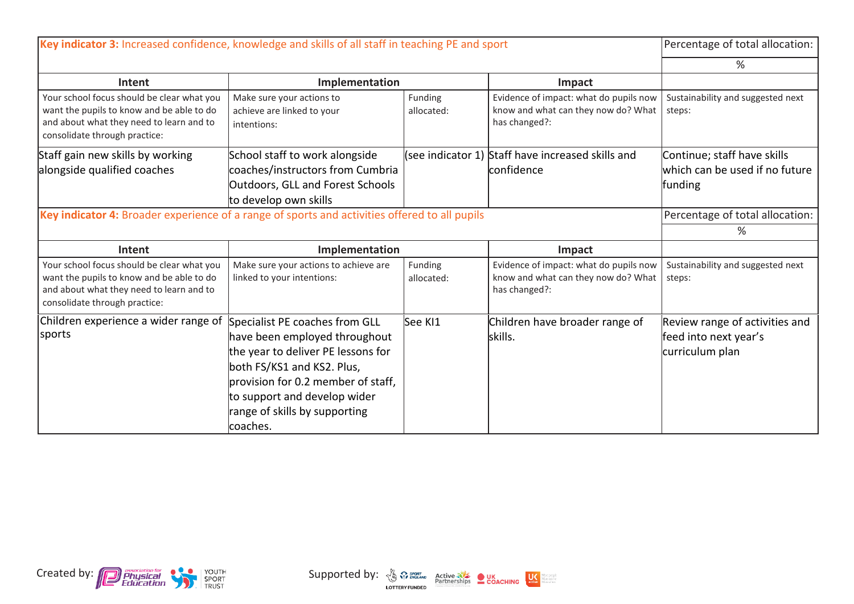| Key indicator 3: Increased confidence, knowledge and skills of all staff in teaching PE and sport                                                                    |                                                                                                                                                                                                                                                        |                       |                                                                                                | Percentage of total allocation:                                            |
|----------------------------------------------------------------------------------------------------------------------------------------------------------------------|--------------------------------------------------------------------------------------------------------------------------------------------------------------------------------------------------------------------------------------------------------|-----------------------|------------------------------------------------------------------------------------------------|----------------------------------------------------------------------------|
|                                                                                                                                                                      |                                                                                                                                                                                                                                                        |                       |                                                                                                | ℅                                                                          |
| Intent                                                                                                                                                               | Implementation                                                                                                                                                                                                                                         |                       | Impact                                                                                         |                                                                            |
| Your school focus should be clear what you<br>want the pupils to know and be able to do<br>and about what they need to learn and to<br>consolidate through practice: | Make sure your actions to<br>achieve are linked to your<br>intentions:                                                                                                                                                                                 | Funding<br>allocated: | Evidence of impact: what do pupils now<br>know and what can they now do? What<br>has changed?: | Sustainability and suggested next<br>steps:                                |
| Staff gain new skills by working<br>alongside qualified coaches                                                                                                      | School staff to work alongside<br>coaches/instructors from Cumbria<br><b>Outdoors, GLL and Forest Schools</b><br>to develop own skills                                                                                                                 |                       | (see indicator 1) Staff have increased skills and<br>confidence                                | Continue; staff have skills<br>which can be used if no future<br>funding   |
| Key indicator 4: Broader experience of a range of sports and activities offered to all pupils                                                                        | Percentage of total allocation:                                                                                                                                                                                                                        |                       |                                                                                                |                                                                            |
|                                                                                                                                                                      | %                                                                                                                                                                                                                                                      |                       |                                                                                                |                                                                            |
| Intent                                                                                                                                                               | Implementation                                                                                                                                                                                                                                         |                       | Impact                                                                                         |                                                                            |
| Your school focus should be clear what you<br>want the pupils to know and be able to do<br>and about what they need to learn and to<br>consolidate through practice: | Make sure your actions to achieve are<br>linked to your intentions:                                                                                                                                                                                    | Funding<br>allocated: | Evidence of impact: what do pupils now<br>know and what can they now do? What<br>has changed?: | Sustainability and suggested next<br>steps:                                |
| Children experience a wider range of<br>sports                                                                                                                       | Specialist PE coaches from GLL<br>have been employed throughout<br>the year to deliver PE lessons for<br>both FS/KS1 and KS2. Plus,<br>provision for 0.2 member of staff,<br>to support and develop wider<br>range of skills by supporting<br>coaches. | See KI1               | Children have broader range of<br>skills.                                                      | Review range of activities and<br>feed into next year's<br>curriculum plan |